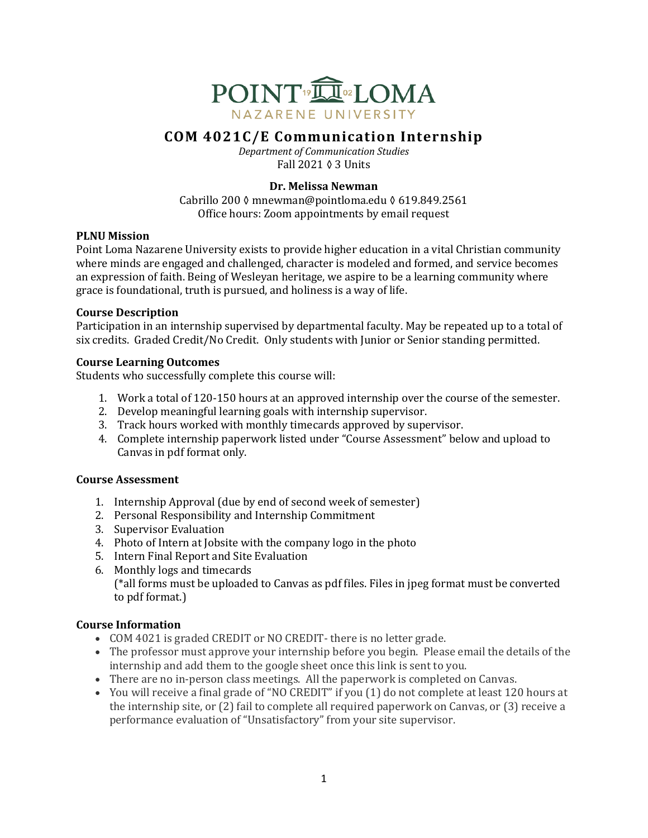

# **COM 4021C/E Communication Internship**

*Department of Communication Studies* Fall 2021 ◊ 3 Units

# **Dr. Melissa Newman**

Cabrillo 200 ◊ mnewman@pointloma.edu ◊ 619.849.2561 Office hours: Zoom appointments by email request

# **PLNU** Mission

Point Loma Nazarene University exists to provide higher education in a vital Christian community where minds are engaged and challenged, character is modeled and formed, and service becomes an expression of faith. Being of Wesleyan heritage, we aspire to be a learning community where grace is foundational, truth is pursued, and holiness is a way of life.

# **Course Description**

Participation in an internship supervised by departmental faculty. May be repeated up to a total of six credits. Graded Credit/No Credit. Only students with Junior or Senior standing permitted.

# **Course Learning Outcomes**

Students who successfully complete this course will:

- 1. Work a total of 120-150 hours at an approved internship over the course of the semester.
- 2. Develop meaningful learning goals with internship supervisor.
- 3. Track hours worked with monthly timecards approved by supervisor.
- 4. Complete internship paperwork listed under "Course Assessment" below and upload to Canvas in pdf format only.

# **Course Assessment**

- 1. Internship Approval (due by end of second week of semester)
- 2. Personal Responsibility and Internship Commitment
- 3. Supervisor Evaluation
- 4. Photo of Intern at Jobsite with the company logo in the photo
- 5. Intern Final Report and Site Evaluation
- 6. Monthly logs and timecards  $(*all forms must be uploaded to Canvas as pdf files. Files in  $ipeg$  format must be converted$ to pdf format.)

# **Course Information**

- COM 4021 is graded CREDIT or NO CREDIT- there is no letter grade.
- The professor must approve your internship before you begin. Please email the details of the internship and add them to the google sheet once this link is sent to you.
- There are no in-person class meetings. All the paperwork is completed on Canvas.
- You will receive a final grade of "NO CREDIT" if you (1) do not complete at least 120 hours at the internship site, or  $(2)$  fail to complete all required paperwork on Canvas, or  $(3)$  receive a performance evaluation of "Unsatisfactory" from your site supervisor.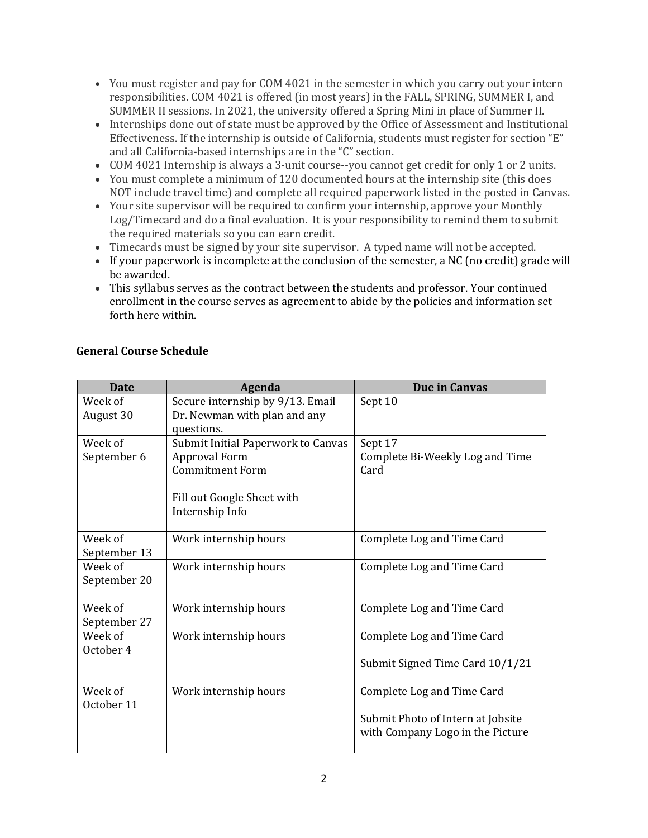- You must register and pay for COM 4021 in the semester in which you carry out your intern responsibilities. COM 4021 is offered (in most years) in the FALL, SPRING, SUMMER I, and SUMMER II sessions. In 2021, the university offered a Spring Mini in place of Summer II.
- Internships done out of state must be approved by the Office of Assessment and Institutional Effectiveness. If the internship is outside of California, students must register for section "E" and all California-based internships are in the "C" section.
- COM 4021 Internship is always a 3-unit course--you cannot get credit for only 1 or 2 units.
- You must complete a minimum of 120 documented hours at the internship site (this does NOT include travel time) and complete all required paperwork listed in the posted in Canvas.
- Your site supervisor will be required to confirm your internship, approve your Monthly Log/Timecard and do a final evaluation. It is your responsibility to remind them to submit the required materials so you can earn credit.
- Timecards must be signed by your site supervisor. A typed name will not be accepted.
- If your paperwork is incomplete at the conclusion of the semester, a NC (no credit) grade will be awarded.
- This syllabus serves as the contract between the students and professor. Your continued enrollment in the course serves as agreement to abide by the policies and information set forth here within.

| <b>Date</b>  | <b>Agenda</b>                      | Due in Canvas                     |
|--------------|------------------------------------|-----------------------------------|
| Week of      | Secure internship by 9/13. Email   | Sept 10                           |
| August 30    | Dr. Newman with plan and any       |                                   |
|              | questions.                         |                                   |
| Week of      | Submit Initial Paperwork to Canvas | Sept 17                           |
| September 6  | <b>Approval Form</b>               | Complete Bi-Weekly Log and Time   |
|              | <b>Commitment Form</b>             | Card                              |
|              |                                    |                                   |
|              | Fill out Google Sheet with         |                                   |
|              | Internship Info                    |                                   |
|              |                                    |                                   |
| Week of      | Work internship hours              | Complete Log and Time Card        |
| September 13 |                                    |                                   |
| Week of      | Work internship hours              | Complete Log and Time Card        |
| September 20 |                                    |                                   |
|              |                                    |                                   |
| Week of      | Work internship hours              | Complete Log and Time Card        |
| September 27 |                                    |                                   |
| Week of      | Work internship hours              | Complete Log and Time Card        |
| October 4    |                                    |                                   |
|              |                                    | Submit Signed Time Card 10/1/21   |
|              |                                    |                                   |
| Week of      | Work internship hours              | Complete Log and Time Card        |
| October 11   |                                    |                                   |
|              |                                    | Submit Photo of Intern at Jobsite |
|              |                                    | with Company Logo in the Picture  |
|              |                                    |                                   |

# **General Course Schedule**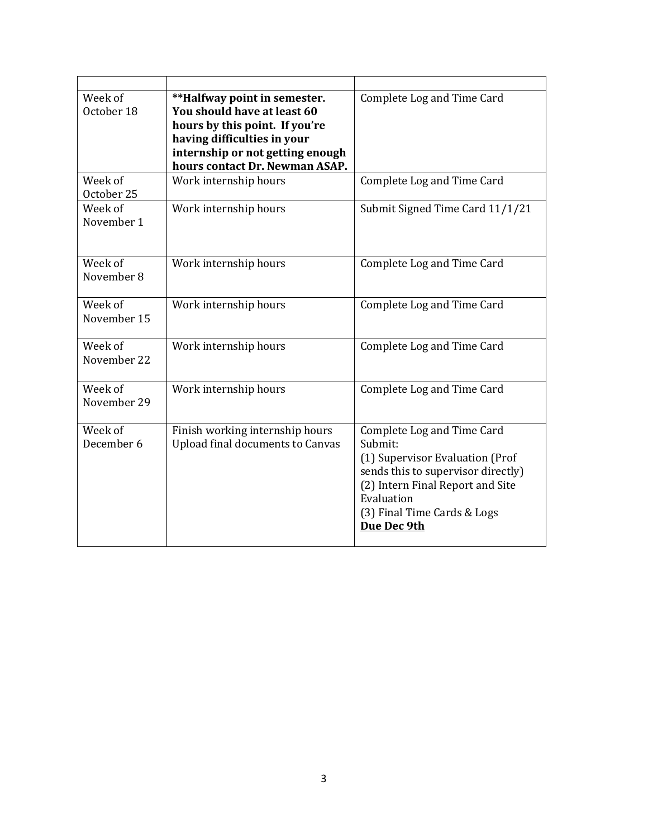| Week of<br>October 18  | **Halfway point in semester.<br>You should have at least 60<br>hours by this point. If you're<br>having difficulties in your<br>internship or not getting enough<br>hours contact Dr. Newman ASAP. | Complete Log and Time Card                                                                                                                                                                                     |
|------------------------|----------------------------------------------------------------------------------------------------------------------------------------------------------------------------------------------------|----------------------------------------------------------------------------------------------------------------------------------------------------------------------------------------------------------------|
| Week of<br>October 25  | Work internship hours                                                                                                                                                                              | Complete Log and Time Card                                                                                                                                                                                     |
| Week of<br>November 1  | Work internship hours                                                                                                                                                                              | Submit Signed Time Card 11/1/21                                                                                                                                                                                |
| Week of<br>November 8  | Work internship hours                                                                                                                                                                              | Complete Log and Time Card                                                                                                                                                                                     |
| Week of<br>November 15 | Work internship hours                                                                                                                                                                              | Complete Log and Time Card                                                                                                                                                                                     |
| Week of<br>November 22 | Work internship hours                                                                                                                                                                              | Complete Log and Time Card                                                                                                                                                                                     |
| Week of<br>November 29 | Work internship hours                                                                                                                                                                              | Complete Log and Time Card                                                                                                                                                                                     |
| Week of<br>December 6  | Finish working internship hours<br>Upload final documents to Canvas                                                                                                                                | Complete Log and Time Card<br>Submit:<br>(1) Supervisor Evaluation (Prof<br>sends this to supervisor directly)<br>(2) Intern Final Report and Site<br>Evaluation<br>(3) Final Time Cards & Logs<br>Due Dec 9th |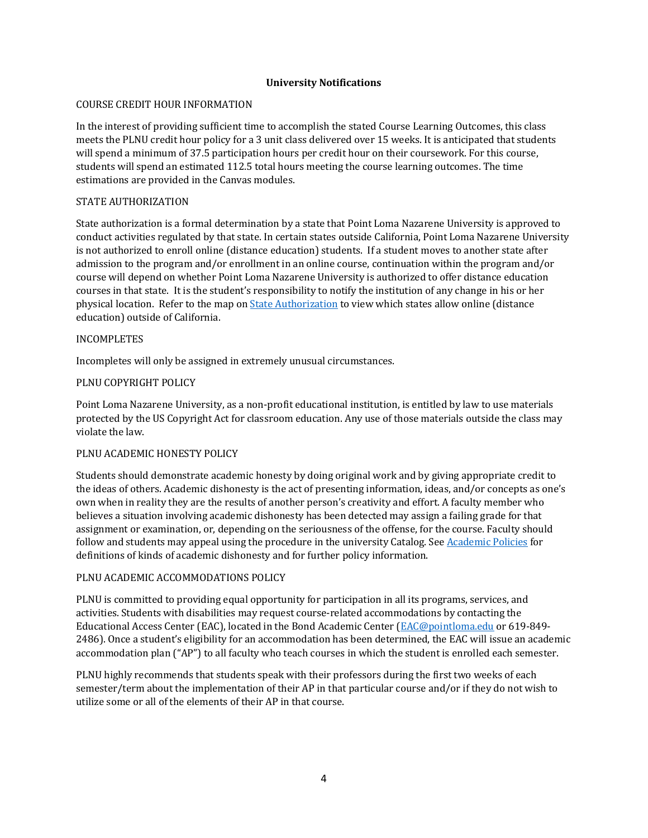## **University Notifications**

#### COURSE CREDIT HOUR INFORMATION

In the interest of providing sufficient time to accomplish the stated Course Learning Outcomes, this class meets the PLNU credit hour policy for a 3 unit class delivered over 15 weeks. It is anticipated that students will spend a minimum of 37.5 participation hours per credit hour on their coursework. For this course, students will spend an estimated 112.5 total hours meeting the course learning outcomes. The time estimations are provided in the Canvas modules.

### STATE AUTHORIZATION

State authorization is a formal determination by a state that Point Loma Nazarene University is approved to conduct activities regulated by that state. In certain states outside California, Point Loma Nazarene University is not authorized to enroll online (distance education) students. If a student moves to another state after admission to the program and/or enrollment in an online course, continuation within the program and/or course will depend on whether Point Loma Nazarene University is authorized to offer distance education courses in that state. It is the student's responsibility to notify the institution of any change in his or her physical location. Refer to the map on State Authorization to view which states allow online (distance education) outside of California.

#### INCOMPLETES

Incompletes will only be assigned in extremely unusual circumstances.

# PLNU COPYRIGHT POLICY

Point Loma Nazarene University, as a non-profit educational institution, is entitled by law to use materials protected by the US Copyright Act for classroom education. Any use of those materials outside the class may violate the law.

# PLNU ACADEMIC HONESTY POLICY

Students should demonstrate academic honesty by doing original work and by giving appropriate credit to the ideas of others. Academic dishonesty is the act of presenting information, ideas, and/or concepts as one's own when in reality they are the results of another person's creativity and effort. A faculty member who believes a situation involving academic dishonesty has been detected may assign a failing grade for that assignment or examination, or, depending on the seriousness of the offense, for the course. Faculty should follow and students may appeal using the procedure in the university Catalog. See Academic Policies for definitions of kinds of academic dishonesty and for further policy information.

#### PLNU ACADEMIC ACCOMMODATIONS POLICY

PLNU is committed to providing equal opportunity for participation in all its programs, services, and activities. Students with disabilities may request course-related accommodations by contacting the Educational Access Center (EAC), located in the Bond Academic Center (EAC@pointloma.edu or 619-849-2486). Once a student's eligibility for an accommodation has been determined, the EAC will issue an academic accommodation plan ("AP") to all faculty who teach courses in which the student is enrolled each semester.

PLNU highly recommends that students speak with their professors during the first two weeks of each semester/term about the implementation of their AP in that particular course and/or if they do not wish to utilize some or all of the elements of their AP in that course.